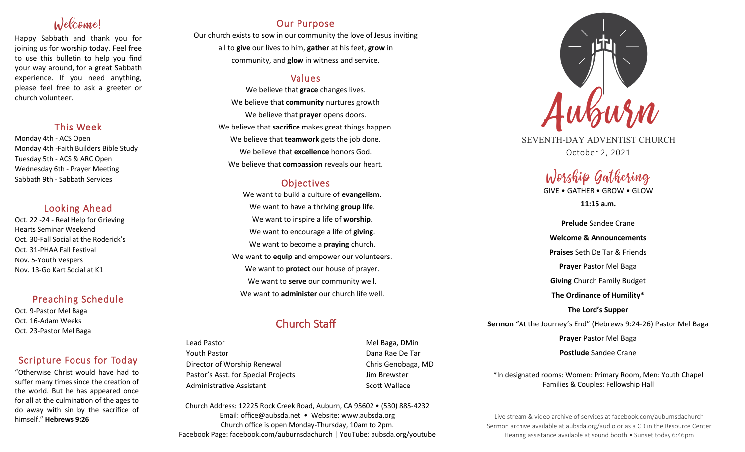# Welcome!

Happy Sabbath and thank you for joining us for worship today. Feel free to use this bulletin to help you find your way around, for a great Sabbath experience. If you need anything, please feel free to ask a greeter or church volunteer.

### This Week

Monday 4th - ACS Open Monday 4th -Faith Builders Bible Study Tuesday 5th - ACS & ARC Open Wednesday 6th - Prayer Meeting Sabbath 9th - Sabbath Services

## Looking Ahead

Oct. 22 -24 - Real Help for Grieving Hearts Seminar Weekend Oct. 30-Fall Social at the Roderick's Oct. 31-PHAA Fall Festival Nov. 5-Youth Vespers Nov. 13-Go Kart Social at K1

### Preaching Schedule

Oct. 9-Pastor Mel Baga Oct. 16-Adam Weeks Oct. 23-Pastor Mel Baga

## Scripture Focus for Today

"Otherwise Christ would have had to suffer many times since the creation of the world. But he has appeared once for all at the culmination of the ages to do away with sin by the sacrifice of himself." **Hebrews 9:26**

## Our Purpose

Our church exists to sow in our community the love of Jesus inviting all to **give** our lives to him, **gather** at his feet, **grow** in community, and **glow** in witness and service.

## Values

We believe that **grace** changes lives. We believe that **community** nurtures growth We believe that **prayer** opens doors. We believe that **sacrifice** makes great things happen. We believe that **teamwork** gets the job done. We believe that **excellence** honors God. We believe that **compassion** reveals our heart.

## **Objectives**

We want to build a culture of **evangelism**. We want to have a thriving **group life**. We want to inspire a life of **worship**. We want to encourage a life of **giving**. We want to become a **praying** church. We want to **equip** and empower our volunteers. We want to **protect** our house of prayer. We want to **serve** our community well. We want to **administer** our church life well.

## Church Staff

Lead Pastor New York 1999, 2008. The Mel Baga, DMin Youth Pastor Dana Rae De Tar Director of Worship Renewal **Chris Genobaga**, MD Pastor's Asst. for Special Projects Fig. 3.1 Jim Brewster Administrative Assistant National Controllery Scott Wallace

Church Address: 12225 Rock Creek Road, Auburn, CA 95602 • (530) 885-4232 Email: office@aubsda.net • Website: www.aubsda.org Church office is open Monday-Thursday, 10am to 2pm. Facebook Page: facebook.com/auburnsdachurch | YouTube: aubsda.org/youtube



SEVENTH-DAY ADVENTIST CHURCH October 2, 2021

## Worship Gathering GIVE • GATHER • GROW • GLOW

**11:15 a.m.**

**Prelude** Sandee Crane **Welcome & Announcements Praises** Seth De Tar & Friends **Prayer** Pastor Mel Baga **Giving** Church Family Budget **The Ordinance of Humility\* The Lord's Supper Sermon** "At the Journey's End" (Hebrews 9:24-26) Pastor Mel Baga **Prayer** Pastor Mel Baga **Postlude** Sandee Crane

\*In designated rooms: Women: Primary Room, Men: Youth Chapel Families & Couples: Fellowship Hall

Live stream & video archive of services at facebook.com/auburnsdachurch Sermon archive available at aubsda.org/audio or as a CD in the Resource Center Hearing assistance available at sound booth • Sunset today 6:46pm